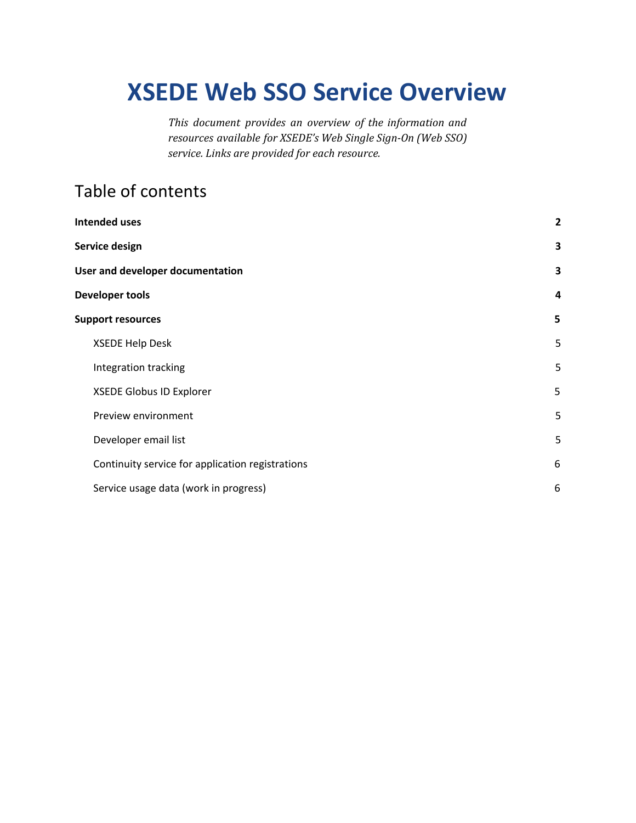# **XSEDE Web SSO Service Overview**

*This document provides an overview of the information and resources available for XSEDE's Web Single Sign-On (Web SSO) service. Links are provided for each resource.*

# Table of contents

| <b>Intended uses</b> |                                                  | $\overline{2}$ |
|----------------------|--------------------------------------------------|----------------|
| Service design       |                                                  | 3              |
|                      | User and developer documentation                 |                |
|                      | <b>Developer tools</b>                           | 4              |
|                      | <b>Support resources</b>                         |                |
|                      | <b>XSEDE Help Desk</b>                           | 5              |
|                      | Integration tracking                             | 5              |
|                      | XSEDE Globus ID Explorer                         | 5              |
|                      | Preview environment                              | 5              |
|                      | Developer email list                             | 5              |
|                      | Continuity service for application registrations | 6              |
|                      | Service usage data (work in progress)            | 6              |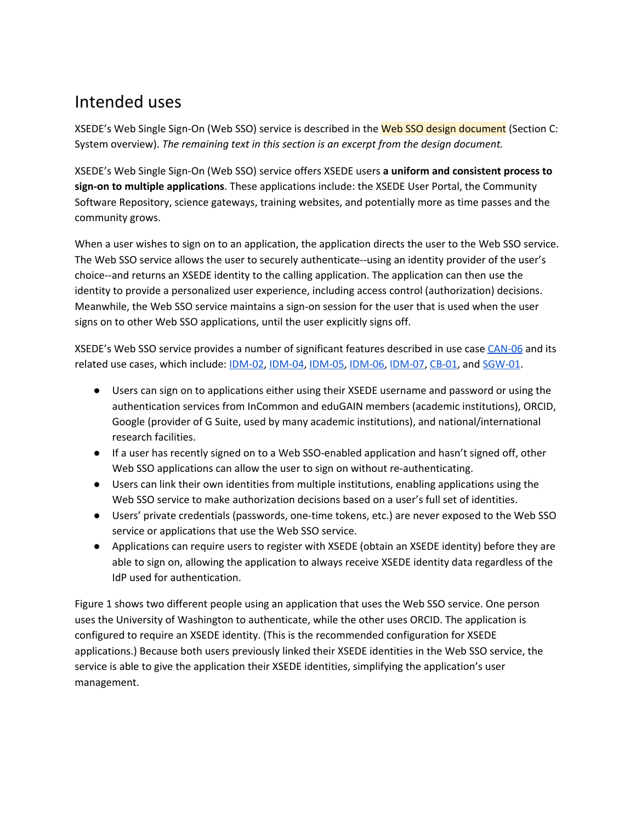# <span id="page-1-0"></span>Intended uses

XSEDE's Web Single Sign-On (Web SSO) service is described in the Web SSO design document (Section C: System overview). *The remaining text in this section is an excerpt from the design document.*

XSEDE's Web Single Sign-On (Web SSO) service offers XSEDE users **a uniform and consistent process to sign-on to multiple applications**. These applications include: the XSEDE User Portal, the Community Software Repository, science gateways, training websites, and potentially more as time passes and the community grows.

When a user wishes to sign on to an application, the application directs the user to the Web SSO service. The Web SSO service allows the user to securely authenticate--using an identity provider of the user's choice--and returns an XSEDE identity to the calling application. The application can then use the identity to provide a personalized user experience, including access control (authorization) decisions. Meanwhile, the Web SSO service maintains a sign-on session for the user that is used when the user signs on to other Web SSO applications, until the user explicitly signs off.

XSEDE's Web SSO service provides a number of significant features described in use case [CAN-06](https://software.xsede.org/use-case/can-06) and its related use cases, which include: [IDM-02](https://software.xsede.org/use-case/idm-02), [IDM-04](https://software.xsede.org/use-case/idm-04), [IDM-05,](https://software.xsede.org/use-case/idm-05) [IDM-06](https://software.xsede.org/use-case/idm-06), [IDM-07,](https://software.xsede.org/use-case/idm-07) [CB-01](https://software.xsede.org/use-case/cb-01), and [SGW-01](https://software.xsede.org/use-case/sgw-01).

- Users can sign on to applications either using their XSEDE username and password or using the authentication services from InCommon and eduGAIN members (academic institutions), ORCID, Google (provider of G Suite, used by many academic institutions), and national/international research facilities.
- If a user has recently signed on to a Web SSO-enabled application and hasn't signed off, other Web SSO applications can allow the user to sign on without re-authenticating.
- Users can link their own identities from multiple institutions, enabling applications using the Web SSO service to make authorization decisions based on a user's full set of identities.
- Users' private credentials (passwords, one-time tokens, etc.) are never exposed to the Web SSO service or applications that use the Web SSO service.
- Applications can require users to register with XSEDE (obtain an XSEDE identity) before they are able to sign on, allowing the application to always receive XSEDE identity data regardless of the IdP used for authentication.

Figure 1 shows two different people using an application that uses the Web SSO service. One person uses the University of Washington to authenticate, while the other uses ORCID. The application is configured to require an XSEDE identity. (This is the recommended configuration for XSEDE applications.) Because both users previously linked their XSEDE identities in the Web SSO service, the service is able to give the application their XSEDE identities, simplifying the application's user management.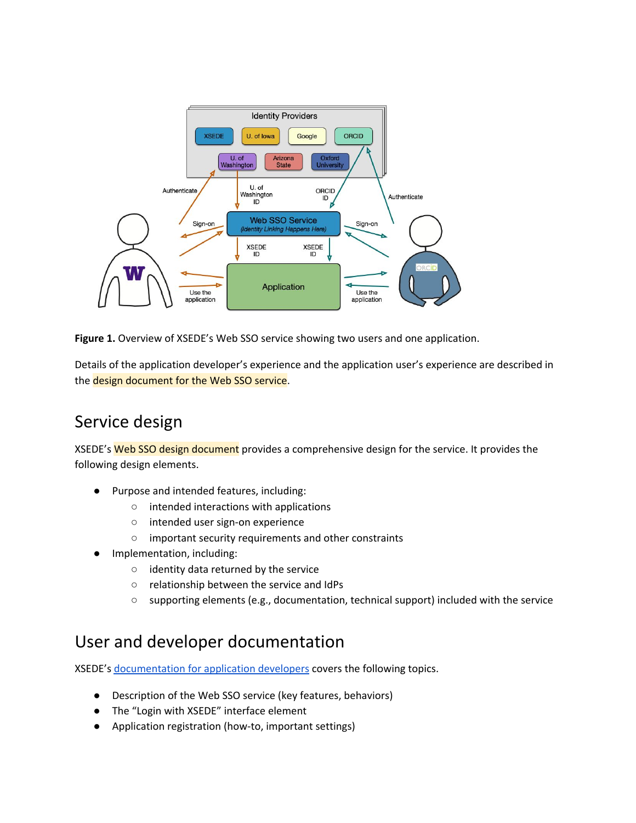

**Figure 1.** Overview of XSEDE's Web SSO service showing two users and one application.

Details of the application developer's experience and the application user's experience are described in the design document for the Web SSO service.

# <span id="page-2-0"></span>Service design

XSEDE's Web SSO design document provides a comprehensive design for the service. It provides the following design elements.

- Purpose and intended features, including:
	- intended interactions with applications
	- intended user sign-on experience
	- important security requirements and other constraints
- Implementation, including:
	- identity data returned by the service
	- relationship between the service and IdPs
	- supporting elements (e.g., documentation, technical support) included with the service

### <span id="page-2-1"></span>User and developer documentation

XSEDE's [documentation](https://software.xsede.org/development/xsede-web-sso/Web-SSO-for-Application-Developers.pdf) for application developers covers the following topics.

- Description of the Web SSO service (key features, behaviors)
- The "Login with XSEDE" interface element
- Application registration (how-to, important settings)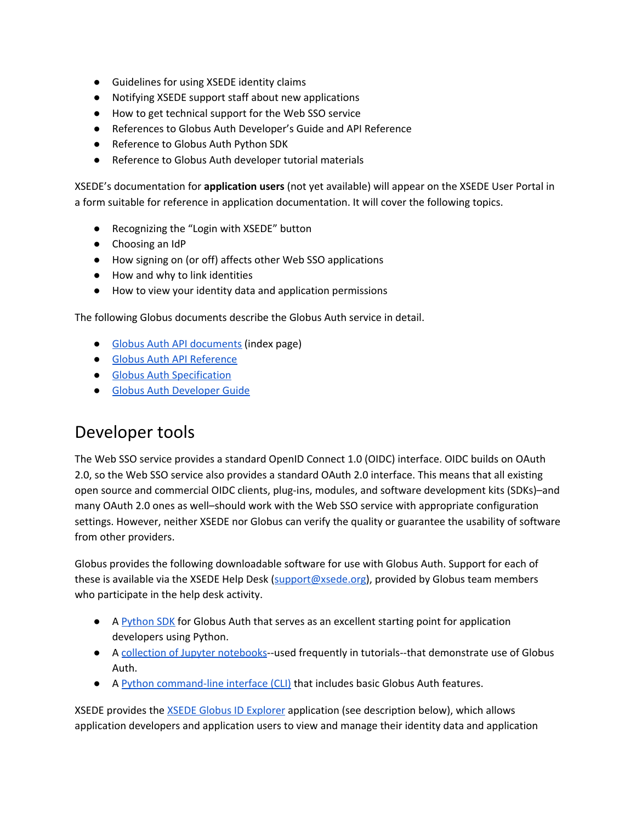- Guidelines for using XSEDE identity claims
- Notifying XSEDE support staff about new applications
- How to get technical support for the Web SSO service
- References to Globus Auth Developer's Guide and API Reference
- Reference to Globus Auth Python SDK
- Reference to Globus Auth developer tutorial materials

XSEDE's documentation for **application users** (not yet available) will appear on the XSEDE User Portal in a form suitable for reference in application documentation. It will cover the following topics.

- Recognizing the "Login with XSEDE" button
- Choosing an IdP
- How signing on (or off) affects other Web SSO applications
- How and why to link identities
- How to view your identity data and application permissions

The following Globus documents describe the Globus Auth service in detail.

- Globus Auth API [documents](https://docs.globus.org/api/auth/) (index page)
- Globus Auth API [Reference](https://docs.globus.org/api/auth/reference)
- Globus Auth [Specification](https://docs.globus.org/api/auth/specification)
- Globus Auth [Developer](https://docs.globus.org/api/auth/developer-guide) Guide

## <span id="page-3-0"></span>Developer tools

The Web SSO service provides a standard OpenID Connect 1.0 (OIDC) interface. OIDC builds on OAuth 2.0, so the Web SSO service also provides a standard OAuth 2.0 interface. This means that all existing open source and commercial OIDC clients, plug-ins, modules, and software development kits (SDKs)–and many OAuth 2.0 ones as well–should work with the Web SSO service with appropriate configuration settings. However, neither XSEDE nor Globus can verify the quality or guarantee the usability of software from other providers.

Globus provides the following downloadable software for use with Globus Auth. Support for each of these is available via the XSEDE Help Desk ([support@xsede.org](mailto:support@xsede.org)), provided by Globus team members who participate in the help desk activity.

- A [Python](http://globus.github.io/globus-sdk-python) SDK for Globus Auth that serves as an excellent starting point for application developers using Python.
- A collection of Jupyter [notebooks](https://github.com/globus/globus-jupyter-notebooks)--used frequently in tutorials--that demonstrate use of Globus Auth.
- A Python [command-line](https://docs.globus.org/cli/) interface (CLI) that includes basic Globus Auth features.

XSEDE provides the XSEDE Globus ID [Explorer](https://info.xsede.org/globus-id-explorer) application (see description below), which allows application developers and application users to view and manage their identity data and application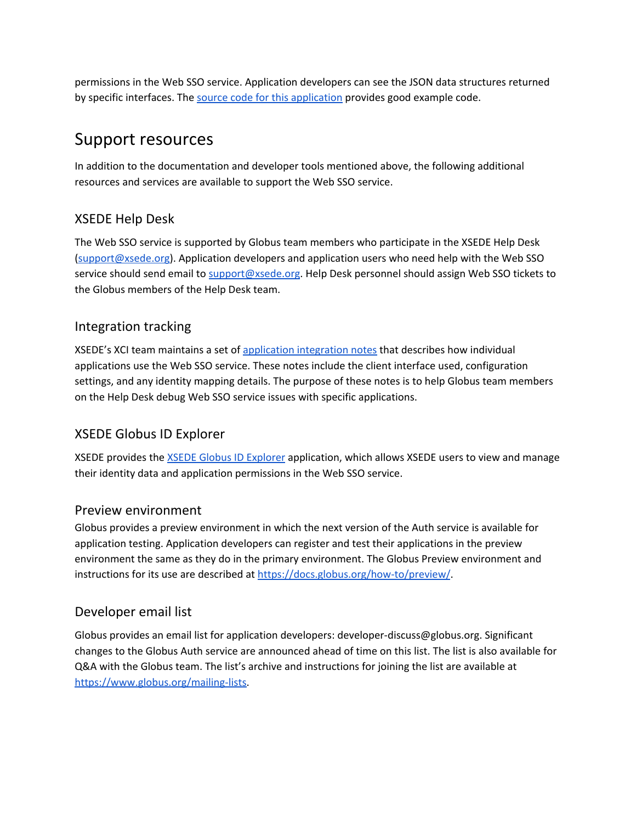permissions in the Web SSO service. Application developers can see the JSON data structures returned by specific interfaces. The source code for this [application](https://github.com/lliming/globus-id-explorer) provides good example code.

### <span id="page-4-0"></span>Support resources

In addition to the documentation and developer tools mentioned above, the following additional resources and services are available to support the Web SSO service.

### <span id="page-4-1"></span>XSEDE Help Desk

The Web SSO service is supported by Globus team members who participate in the XSEDE Help Desk [\(support@xsede.org\)](mailto:support@xsede.org). Application developers and application users who need help with the Web SSO service should send email to [support@xsede.org](mailto:support@xsede.org). Help Desk personnel should assign Web SSO tickets to the Globus members of the Help Desk team.

### <span id="page-4-2"></span>Integration tracking

XSEDE's XCI team maintains a set of [application](https://docs.google.com/document/d/1FqBjRvCkhtvWZ2ulRJJV-zN2VBwcC51DkEzNwKmbpr0/edit#heading=h.edgkh6vgbe8t) integration notes that describes how individual applications use the Web SSO service. These notes include the client interface used, configuration settings, and any identity mapping details. The purpose of these notes is to help Globus team members on the Help Desk debug Web SSO service issues with specific applications.

### <span id="page-4-3"></span>XSEDE Globus ID Explorer

XSEDE provides the XSEDE Globus ID [Explorer](https://info.xsede.org/globus-id-explorer) application, which allows XSEDE users to view and manage their identity data and application permissions in the Web SSO service.

#### <span id="page-4-4"></span>Preview environment

Globus provides a preview environment in which the next version of the Auth service is available for application testing. Application developers can register and test their applications in the preview environment the same as they do in the primary environment. The Globus Preview environment and instructions for its use are described at [https://docs.globus.org/how-to/preview/.](https://docs.globus.org/how-to/preview/)

### <span id="page-4-5"></span>Developer email list

Globus provides an email list for application developers: developer-discuss@globus.org. Significant changes to the Globus Auth service are announced ahead of time on this list. The list is also available for Q&A with the Globus team. The list's archive and instructions for joining the list are available at [https://www.globus.org/mailing-lists.](https://www.globus.org/mailing-lists)